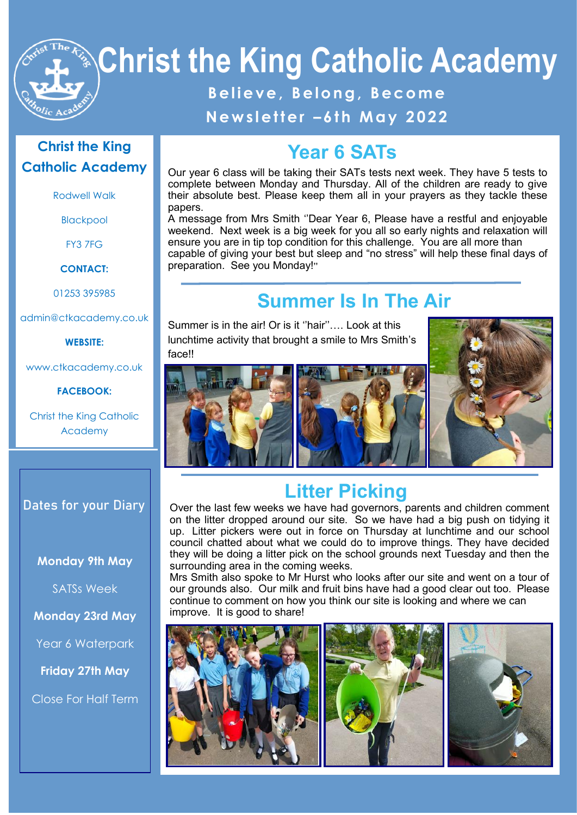

# **Christ the King Catholic Academy**

#### Believe, Belong, Become **N e w s l e t t e r – 6 t h M a y 2 0 22**

#### **Christ the King Catholic Academy**

Rodwell Walk

Blackpool

FY3 7FG

**CONTACT:**

01253 395985

admin@ctkacademy.co.uk

**WEBSITE:**

www.ctkacademy.co.uk

**FACEBOOK:**

Christ the King Catholic Academy

#### **Dates for your Diary**

**Monday 9th May**

SATSs Week

**Monday 23rd May**

Year 6 Waterpark

**Friday 27th May**

Close For Half Term

#### **Year 6 SATs**

Our year 6 class will be taking their SATs tests next week. They have 5 tests to complete between Monday and Thursday. All of the children are ready to give their absolute best. Please keep them all in your prayers as they tackle these papers.

A message from Mrs Smith ''Dear Year 6, Please have a restful and enjoyable weekend. Next week is a big week for you all so early nights and relaxation will ensure you are in tip top condition for this challenge. You are all more than capable of giving your best but sleep and "no stress" will help these final days of preparation. See you Monday!''

## **Summer Is In The Air**

Summer is in the air! Or is it ''hair''…. Look at this lunchtime activity that brought a smile to Mrs Smith's face!!







## **Litter Picking**

Over the last few weeks we have had governors, parents and children comment on the litter dropped around our site. So we have had a big push on tidying it up. Litter pickers were out in force on Thursday at lunchtime and our school council chatted about what we could do to improve things. They have decided they will be doing a litter pick on the school grounds next Tuesday and then the surrounding area in the coming weeks.

Mrs Smith also spoke to Mr Hurst who looks after our site and went on a tour of our grounds also. Our milk and fruit bins have had a good clear out too. Please continue to comment on how you think our site is looking and where we can improve. It is good to share!

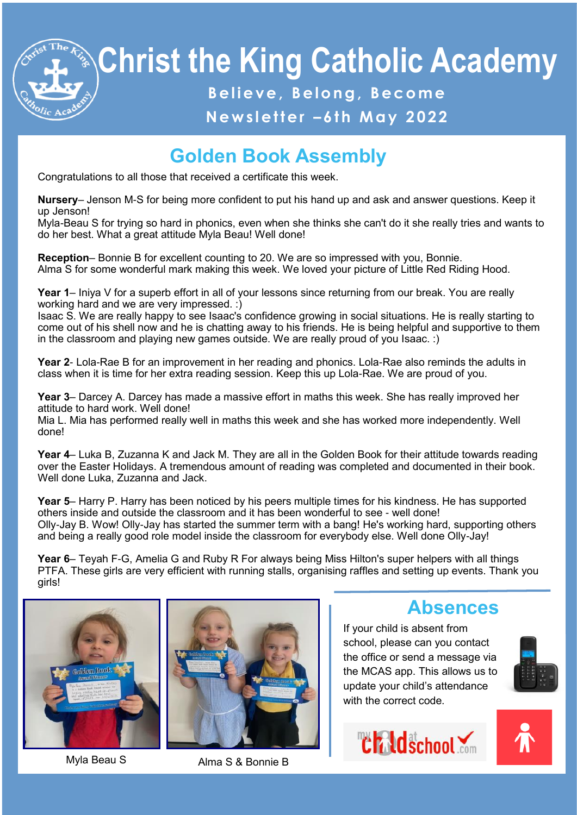

# **Christ the King Catholic Academy B e l i e v e , B e l o n g , B e c o m e**

## **N e w s l e t t e r – 6 t h M a y 2 0 22**

## **Golden Book Assembly**

Congratulations to all those that received a certificate this week.

**Nursery**– Jenson M-S for being more confident to put his hand up and ask and answer questions. Keep it up Jenson!

Myla-Beau S for trying so hard in phonics, even when she thinks she can't do it she really tries and wants to do her best. What a great attitude Myla Beau! Well done!

**Reception**– Bonnie B for excellent counting to 20. We are so impressed with you, Bonnie. Alma S for some wonderful mark making this week. We loved your picture of Little Red Riding Hood.

**Year 1**– Iniya V for a superb effort in all of your lessons since returning from our break. You are really working hard and we are very impressed. :)

Isaac S. We are really happy to see Isaac's confidence growing in social situations. He is really starting to come out of his shell now and he is chatting away to his friends. He is being helpful and supportive to them in the classroom and playing new games outside. We are really proud of you Isaac. :)

**Year 2**- Lola-Rae B for an improvement in her reading and phonics. Lola-Rae also reminds the adults in class when it is time for her extra reading session. Keep this up Lola-Rae. We are proud of you.

**Year 3**– Darcey A. Darcey has made a massive effort in maths this week. She has really improved her attitude to hard work. Well done!

Mia L. Mia has performed really well in maths this week and she has worked more independently. Well done!

**Year 4**– Luka B, Zuzanna K and Jack M. They are all in the Golden Book for their attitude towards reading over the Easter Holidays. A tremendous amount of reading was completed and documented in their book. Well done Luka, Zuzanna and Jack.

**Year 5**– Harry P. Harry has been noticed by his peers multiple times for his kindness. He has supported others inside and outside the classroom and it has been wonderful to see - well done! Olly-Jay B. Wow! Olly-Jay has started the summer term with a bang! He's working hard, supporting others and being a really good role model inside the classroom for everybody else. Well done Olly-Jay!

**Year 6**– Teyah F-G, Amelia G and Ruby R For always being Miss Hilton's super helpers with all things PTFA. These girls are very efficient with running stalls, organising raffles and setting up events. Thank you girls!





Myla Beau S<br>
Alma S & Bonnie B

#### **Absences**

If your child is absent from school, please can you contact the office or send a message via the MCAS app. This allows us to update your child's attendance with the correct code.





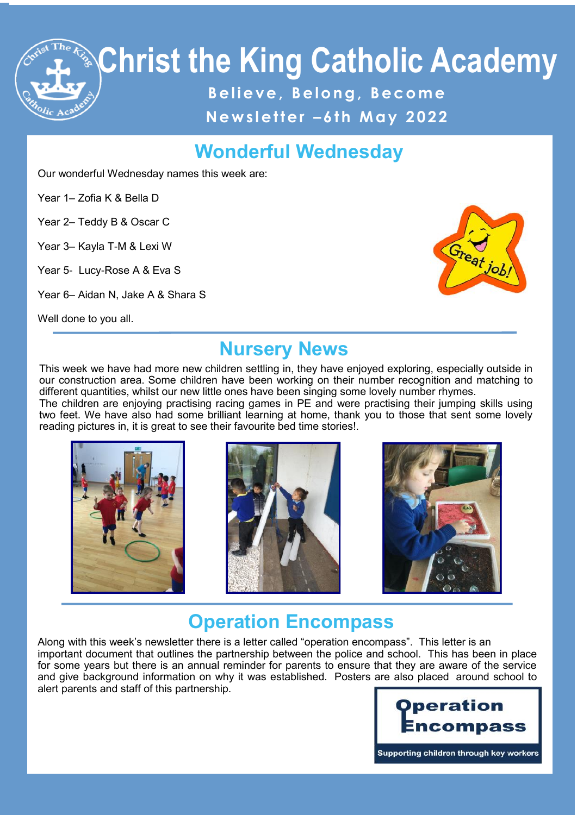

#### **Wonderful Wednesday**

Our wonderful Wednesday names this week are:

Year 1– Zofia K & Bella D

Year 2– Teddy B & Oscar C

Year 3– Kayla T-M & Lexi W

Year 5- Lucy-Rose A & Eva S

Year 6– Aidan N, Jake A & Shara S

Well done to you all.



#### **Nursery News**

This week we have had more new children settling in, they have enjoyed exploring, especially outside in our construction area. Some children have been working on their number recognition and matching to different quantities, whilst our new little ones have been singing some lovely number rhymes.

The children are enjoying practising racing games in PE and were practising their jumping skills using two feet. We have also had some brilliant learning at home, thank you to those that sent some lovely reading pictures in, it is great to see their favourite bed time stories!.







#### **Operation Encompass**

Along with this week's newsletter there is a letter called "operation encompass". This letter is an important document that outlines the partnership between the police and school. This has been in place for some years but there is an annual reminder for parents to ensure that they are aware of the service and give background information on why it was established. Posters are also placed around school to alert parents and staff of this partnership.